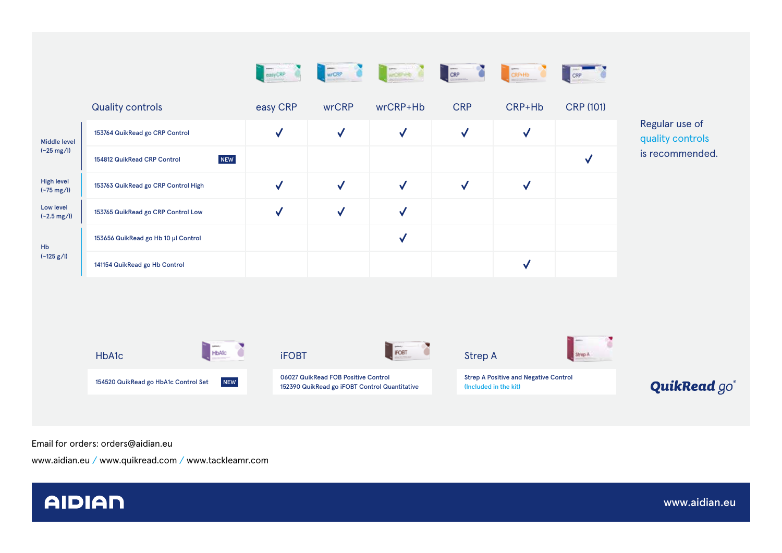|                                           |                                                    | easyCRP      | WECRP O                                                                              | whospital and cap |                                                                       | CRP+Hb       |                                 |                                                       |
|-------------------------------------------|----------------------------------------------------|--------------|--------------------------------------------------------------------------------------|-------------------|-----------------------------------------------------------------------|--------------|---------------------------------|-------------------------------------------------------|
|                                           | <b>Quality controls</b>                            | easy CRP     | wrCRP                                                                                | wrCRP+Hb          | <b>CRP</b>                                                            | CRP+Hb       | <b>CRP (101)</b>                |                                                       |
| <b>Middle level</b>                       | 153764 QuikRead go CRP Control                     | $\checkmark$ | $\checkmark$                                                                         | $\checkmark$      | $\checkmark$                                                          | $\checkmark$ |                                 | Regular use of<br>quality controls<br>is recommended. |
| $(-25 \text{ mg/l})$                      | <b>NEW</b><br>154812 QuikRead CRP Control          |              |                                                                                      |                   |                                                                       |              | $\checkmark$                    |                                                       |
| <b>High level</b><br>$(-75 \text{ mg/l})$ | 153763 QuikRead go CRP Control High                | $\checkmark$ | $\checkmark$                                                                         | $\checkmark$      | $\checkmark$                                                          | $\checkmark$ |                                 |                                                       |
| Low level<br>$(-2.5 \text{ mg/l})$        | 153765 QuikRead go CRP Control Low                 | $\checkmark$ | $\checkmark$                                                                         | $\checkmark$      |                                                                       |              |                                 |                                                       |
| Hb                                        | 153656 QuikRead go Hb 10 µl Control                |              |                                                                                      | $\checkmark$      |                                                                       |              |                                 |                                                       |
| $(-125 g/l)$                              | 141154 QuikRead go Hb Control                      |              |                                                                                      |                   |                                                                       | $\checkmark$ |                                 |                                                       |
|                                           |                                                    |              |                                                                                      |                   |                                                                       |              |                                 |                                                       |
|                                           | HbAlc O<br><b>HbA1c</b>                            |              | <b>iFOBT</b>                                                                         | <b>FOBT</b>       | <b>Strep A</b>                                                        |              | Strep A                         |                                                       |
|                                           | <b>NEW</b><br>154520 QuikRead go HbA1c Control Set |              | 06027 QuikRead FOB Positive Control<br>152390 QuikRead go iFOBT Control Quantitative |                   | <b>Strep A Positive and Negative Control</b><br>(Included in the kit) |              | <b>QuikRead</b> go <sup>*</sup> |                                                       |

Email for orders: orders@aidian.eu

www.aidian.eu / www.quikread.com / www.tackleamr.com